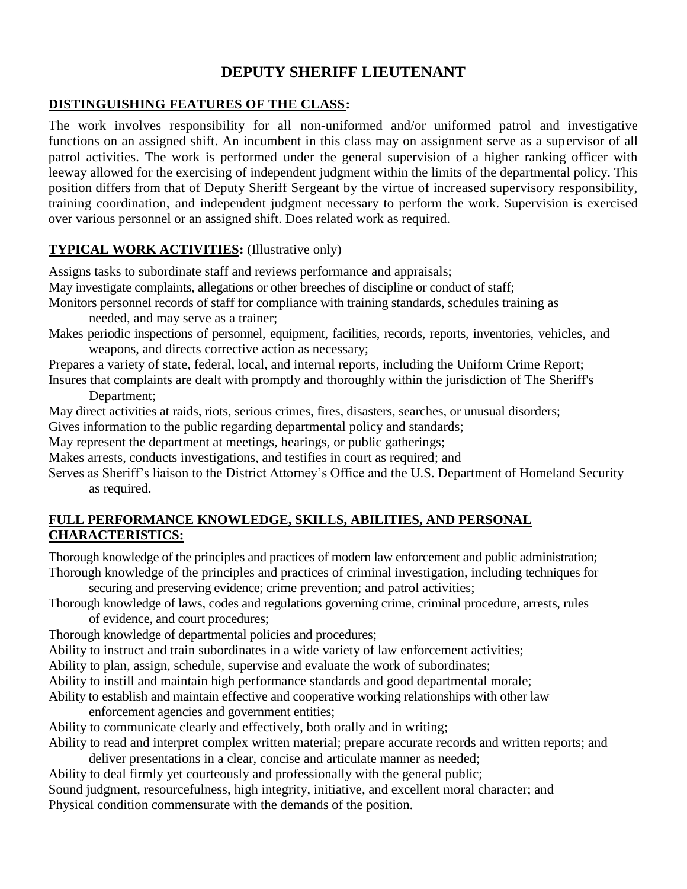# **DEPUTY SHERIFF LIEUTENANT**

## **DISTINGUISHING FEATURES OF THE CLASS:**

The work involves responsibility for all non-uniformed and/or uniformed patrol and investigative functions on an assigned shift. An incumbent in this class may on assignment serve as a supervisor of all patrol activities. The work is performed under the general supervision of a higher ranking officer with leeway allowed for the exercising of independent judgment within the limits of the departmental policy. This position differs from that of Deputy Sheriff Sergeant by the virtue of increased supervisory responsibility, training coordination, and independent judgment necessary to perform the work. Supervision is exercised over various personnel or an assigned shift. Does related work as required.

# **TYPICAL WORK ACTIVITIES:** (Illustrative only)

Assigns tasks to subordinate staff and reviews performance and appraisals;

May investigate complaints, allegations or other breeches of discipline or conduct of staff;

Monitors personnel records of staff for compliance with training standards, schedules training as needed, and may serve as a trainer;

Makes periodic inspections of personnel, equipment, facilities, records, reports, inventories, vehicles, and weapons, and directs corrective action as necessary;

Prepares a variety of state, federal, local, and internal reports, including the Uniform Crime Report;

Insures that complaints are dealt with promptly and thoroughly within the jurisdiction of The Sheriff's Department;

May direct activities at raids, riots, serious crimes, fires, disasters, searches, or unusual disorders;

Gives information to the public regarding departmental policy and standards;

May represent the department at meetings, hearings, or public gatherings;

Makes arrests, conducts investigations, and testifies in court as required; and

Serves as Sheriff's liaison to the District Attorney's Office and the U.S. Department of Homeland Security as required.

#### **FULL PERFORMANCE KNOWLEDGE, SKILLS, ABILITIES, AND PERSONAL CHARACTERISTICS:**

Thorough knowledge of the principles and practices of modern law enforcement and public administration; Thorough knowledge of the principles and practices of criminal investigation, including techniques for

securing and preserving evidence; crime prevention; and patrol activities;

Thorough knowledge of laws, codes and regulations governing crime, criminal procedure, arrests, rules

of evidence, and court procedures;

Thorough knowledge of departmental policies and procedures;

Ability to instruct and train subordinates in a wide variety of law enforcement activities;

Ability to plan, assign, schedule, supervise and evaluate the work of subordinates;

Ability to instill and maintain high performance standards and good departmental morale;

Ability to establish and maintain effective and cooperative working relationships with other law

enforcement agencies and government entities;

Ability to communicate clearly and effectively, both orally and in writing;

Ability to read and interpret complex written material; prepare accurate records and written reports; and deliver presentations in a clear, concise and articulate manner as needed;

Ability to deal firmly yet courteously and professionally with the general public;

Sound judgment, resourcefulness, high integrity, initiative, and excellent moral character; and Physical condition commensurate with the demands of the position.